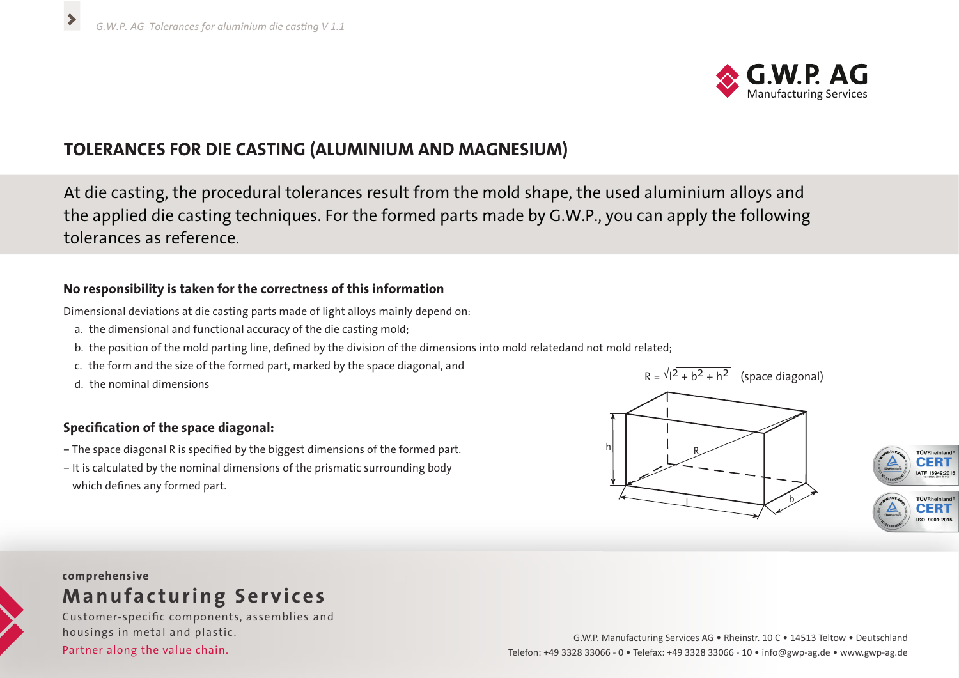

# **TOLERANCES FOR DIE CASTING (ALUMINIUM AND MAGNESIUM)**

At die casting, the procedural tolerances result from the mold shape, the used aluminium alloys and the applied die casting techniques. For the formed parts made by G.W.P., you can apply the following tolerances as reference.

### **No responsibility is taken for the correctness of this information**

Dimensional deviations at die casting parts made of light alloys mainly depend on:

- a. the dimensional and functional accuracy of the die casting mold;
- b. the position of the mold parting line, defined by the division of the dimensions into mold relatedand not mold related;
- c. the form and the size of the formed part, marked by the space diagonal, and
- d. the nominal dimensions

## **Specification of the space diagonal:**

- The space diagonal R is specified by the biggest dimensions of the formed part.
- It is calculated by the nominal dimensions of the prismatic surrounding body which defines any formed part.





## **comprehensive Manufacturing Services**

Customer-specific components, assemblies and housings in metal and plastic.

Partner along the value chain.

#### G.W.P. Manufacturing Services AG • Rheinstr. 10 C • 14513 Teltow • Deutschland Telefon: +49 3328 33066 - 0 • Telefax: +49 3328 33066 - 10 • info@gwp-ag.de • www.gwp-ag.de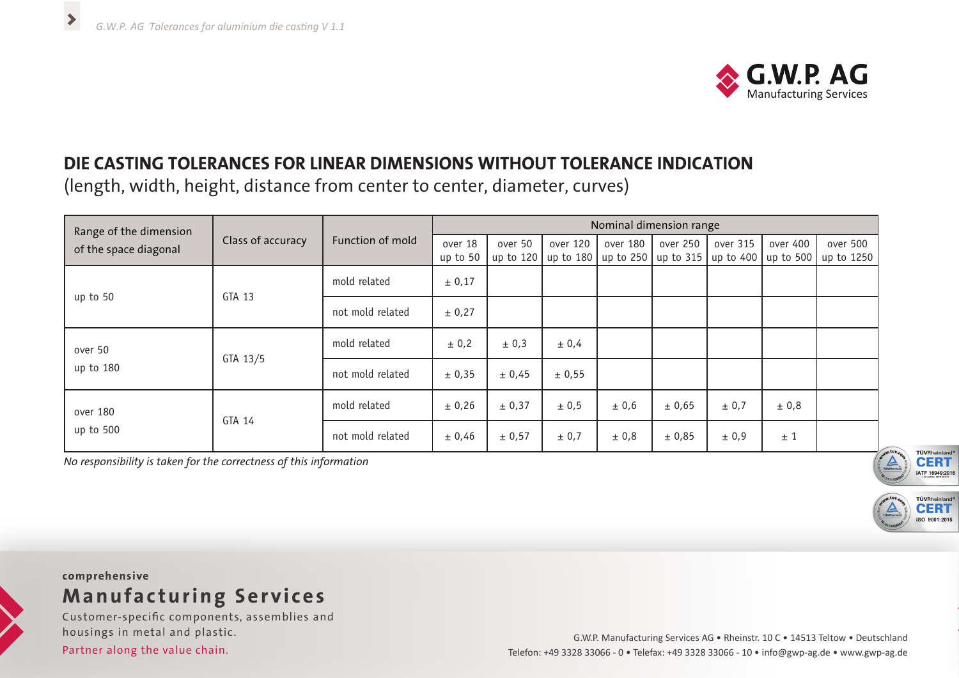$\blacktriangleright$ 



# **DIE CASTING TOLERANCES FOR LINEAR DIMENSIONS WITHOUT TOLERANCE INDICATION**

(length, width, height, distance from center to center, diameter, curves)

| Range of the dimension<br>of the space diagonal | Class of accuracy | Function of mold | Nominal dimension range |         |                       |          |                       |             |           |            |
|-------------------------------------------------|-------------------|------------------|-------------------------|---------|-----------------------|----------|-----------------------|-------------|-----------|------------|
|                                                 |                   |                  | over 18                 | over 50 | over 120              | over 180 | over 250              | over 315    | over 400  | over 500   |
|                                                 |                   |                  | up to 50                |         | up to 120   up to 180 |          | up to 250   up to 315 | up to $400$ | up to 500 | up to 1250 |
| up to 50                                        | GTA 13            | mold related     | ± 0,17                  |         |                       |          |                       |             |           |            |
|                                                 |                   | not mold related | ± 0,27                  |         |                       |          |                       |             |           |            |
| over 50<br>up to 180                            | GTA 13/5          | mold related     | ± 0,2                   | ± 0,3   | ± 0,4                 |          |                       |             |           |            |
|                                                 |                   | not mold related | ± 0,35                  | ± 0,45  | ± 0,55                |          |                       |             |           |            |
| over 180<br>up to 500                           | GTA 14            | mold related     | ± 0,26                  | ± 0,37  | ± 0,5                 | ± 0,6    | ± 0,65                | ± 0,7       | ± 0,8     |            |
|                                                 |                   | not mold related | ± 0,46                  | ± 0,57  | ± 0,7                 | ± 0,8    | ± 0,85                | ± 0,9       | ±1        |            |

*No responsibility is taken for the correctness of this information*



**TÜVRheinland** 

50.9001-2015



# **Manufacturing Services**

Customer-specific components, assemblies and housings in metal and plastic.

Partner along the value chain.